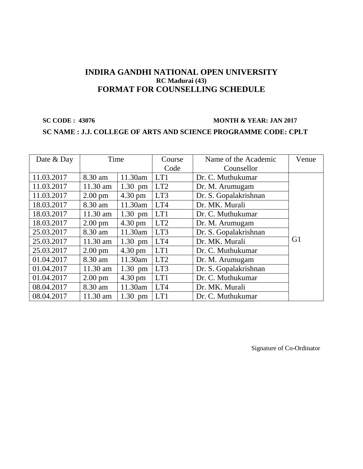### **SC CODE : 43076 MONTH & YEAR: JAN 2017**

### **SC NAME : J.J. COLLEGE OF ARTS AND SCIENCE PROGRAMME CODE: CPLT**

| Date & Day | Time              |                   | Course          | Name of the Academic  | Venue          |
|------------|-------------------|-------------------|-----------------|-----------------------|----------------|
|            |                   |                   | Code            | Counsellor            |                |
| 11.03.2017 | 8.30 am           | 11.30am           | LT <sub>1</sub> | Dr. C. Muthukumar     |                |
| 11.03.2017 | 11.30 am          | $1.30$ pm         | LT <sub>2</sub> | Dr. M. Arumugam       |                |
| 11.03.2017 | $2.00 \text{ pm}$ | 4.30 pm           | LT3             | Dr. S. Gopalakrishnan |                |
| 18.03.2017 | 8.30 am           | 11.30am           | LT4             | Dr. MK. Murali        |                |
| 18.03.2017 | 11.30 am          | $1.30$ pm         | LT1             | Dr. C. Muthukumar     |                |
| 18.03.2017 | $2.00 \text{ pm}$ | 4.30 pm           | LT <sub>2</sub> | Dr. M. Arumugam       |                |
| 25.03.2017 | 8.30 am           | 11.30am           | LT3             | Dr. S. Gopalakrishnan |                |
| 25.03.2017 | $11.30$ am        | $1.30$ pm         | LT4             | Dr. MK. Murali        | G <sub>1</sub> |
| 25.03.2017 | $2.00 \text{ pm}$ | 4.30 pm           | LT1             | Dr. C. Muthukumar     |                |
| 01.04.2017 | 8.30 am           | 11.30am           | LT <sub>2</sub> | Dr. M. Arumugam       |                |
| 01.04.2017 | 11.30 am          | $1.30$ pm         | LT3             | Dr. S. Gopalakrishnan |                |
| 01.04.2017 | $2.00 \text{ pm}$ | $4.30 \text{ pm}$ | LT1             | Dr. C. Muthukumar     |                |
| 08.04.2017 | 8.30 am           | 11.30am           | LT4             | Dr. MK. Murali        |                |
| 08.04.2017 | 11.30 am          | $1.30$ pm         | LT1             | Dr. C. Muthukumar     |                |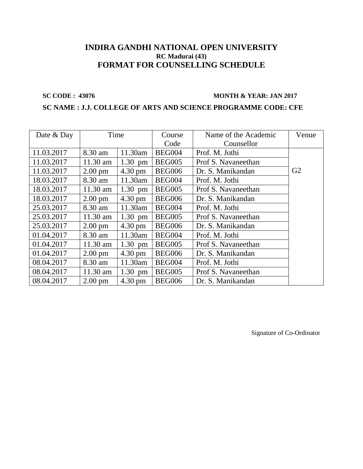### **SC CODE : 43076 MONTH & YEAR: JAN 2017**

### **SC NAME : J.J. COLLEGE OF ARTS AND SCIENCE PROGRAMME CODE: CFE**

| Date & Day | Time              |                   | Course        | Name of the Academic | Venue          |
|------------|-------------------|-------------------|---------------|----------------------|----------------|
|            |                   |                   | Code          | Counsellor           |                |
| 11.03.2017 | 8.30 am           | 11.30am           | <b>BEG004</b> | Prof. M. Jothi       |                |
| 11.03.2017 | $11.30$ am        | $1.30$ pm         | <b>BEG005</b> | Prof S. Navaneethan  |                |
| 11.03.2017 | $2.00 \text{ pm}$ | 4.30 pm           | <b>BEG006</b> | Dr. S. Manikandan    | G <sub>2</sub> |
| 18.03.2017 | 8.30 am           | 11.30am           | <b>BEG004</b> | Prof. M. Jothi       |                |
| 18.03.2017 | $11.30$ am        | $1.30$ pm         | <b>BEG005</b> | Prof S. Navaneethan  |                |
| 18.03.2017 | $2.00 \text{ pm}$ | $4.30 \text{ pm}$ | <b>BEG006</b> | Dr. S. Manikandan    |                |
| 25.03.2017 | 8.30 am           | 11.30am           | <b>BEG004</b> | Prof. M. Jothi       |                |
| 25.03.2017 | $11.30$ am        | $1.30$ pm         | <b>BEG005</b> | Prof S. Navaneethan  |                |
| 25.03.2017 | $2.00 \text{ pm}$ | $4.30 \text{ pm}$ | <b>BEG006</b> | Dr. S. Manikandan    |                |
| 01.04.2017 | 8.30 am           | 11.30am           | <b>BEG004</b> | Prof. M. Jothi       |                |
| 01.04.2017 | $11.30$ am        | $1.30$ pm         | <b>BEG005</b> | Prof S. Navaneethan  |                |
| 01.04.2017 | $2.00 \text{ pm}$ | $4.30 \text{ pm}$ | <b>BEG006</b> | Dr. S. Manikandan    |                |
| 08.04.2017 | 8.30 am           | 11.30am           | <b>BEG004</b> | Prof. M. Jothi       |                |
| 08.04.2017 | 11.30 am          | $1.30$ pm         | <b>BEG005</b> | Prof S. Navaneethan  |                |
| 08.04.2017 | $2.00 \text{ pm}$ | $4.30 \text{ pm}$ | <b>BEG006</b> | Dr. S. Manikandan    |                |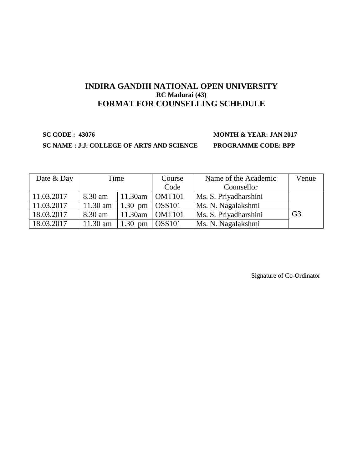### **SC NAME : J.J. COLLEGE OF ARTS AND SCIENCE PROGRAMME CODE: BPP**

# **SC CODE : 43076 MONTH & YEAR: JAN 2017**

| Date & Day | Time       |           | Course        | Name of the Academic  | Venue          |
|------------|------------|-----------|---------------|-----------------------|----------------|
|            |            |           | Code          | Counsellor            |                |
| 11.03.2017 | 8.30 am    | 11.30am   | OMT101        | Ms. S. Priyadharshini |                |
| 11.03.2017 | $11.30$ am | $1.30$ pm | $\log$ S101   | Ms. N. Nagalakshmi    |                |
| 18.03.2017 | 8.30 am    | 11.30am   | OMT101        | Ms. S. Priyadharshini | G <sub>3</sub> |
| 18.03.2017 | 11.30 am   | $1.30$ pm | <b>OSS101</b> | Ms. N. Nagalakshmi    |                |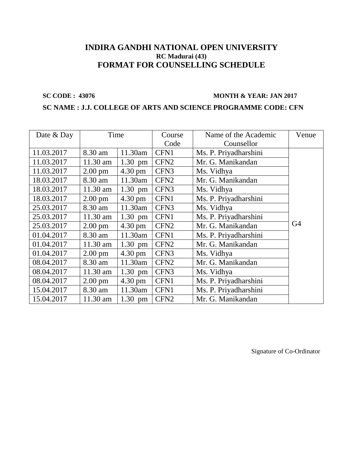### **SC CODE : 43076 MONTH & YEAR: JAN 2017**

### **SC NAME : J.J. COLLEGE OF ARTS AND SCIENCE PROGRAMME CODE: CFN**

| Date & Day | Time              |                   | Course           | Name of the Academic  | Venue |
|------------|-------------------|-------------------|------------------|-----------------------|-------|
|            |                   |                   | Code             | Counsellor            |       |
| 11.03.2017 | 8.30 am           | 11.30am           | CFN1             | Ms. P. Priyadharshini |       |
| 11.03.2017 | 11.30 am          | $1.30$ pm         | CFN <sub>2</sub> | Mr. G. Manikandan     |       |
| 11.03.2017 | $2.00 \text{ pm}$ | 4.30 pm           | CFN <sub>3</sub> | Ms. Vidhya            |       |
| 18.03.2017 | 8.30 am           | 11.30am           | CFN <sub>2</sub> | Mr. G. Manikandan     |       |
| 18.03.2017 | 11.30 am          | $1.30$ pm         | CFN <sub>3</sub> | Ms. Vidhya            |       |
| 18.03.2017 | $2.00 \text{ pm}$ | 4.30 pm           | CFN1             | Ms. P. Priyadharshini |       |
| 25.03.2017 | 8.30 am           | 11.30am           | CFN <sub>3</sub> | Ms. Vidhya            |       |
| 25.03.2017 | $11.30$ am        | $1.30$ pm         | CFN1             | Ms. P. Priyadharshini |       |
| 25.03.2017 | $2.00 \text{ pm}$ | 4.30 pm           | CFN <sub>2</sub> | Mr. G. Manikandan     | G4    |
| 01.04.2017 | 8.30 am           | 11.30am           | CFN1             | Ms. P. Priyadharshini |       |
| 01.04.2017 | 11.30 am          | $1.30$ pm         | CFN <sub>2</sub> | Mr. G. Manikandan     |       |
| 01.04.2017 | $2.00 \text{ pm}$ | $4.30 \text{ pm}$ | CFN <sub>3</sub> | Ms. Vidhya            |       |
| 08.04.2017 | 8.30 am           | 11.30am           | CFN <sub>2</sub> | Mr. G. Manikandan     |       |
| 08.04.2017 | 11.30 am          | $1.30$ pm         | CFN <sub>3</sub> | Ms. Vidhya            |       |
| 08.04.2017 | $2.00 \text{ pm}$ | 4.30 pm           | CFN1             | Ms. P. Priyadharshini |       |
| 15.04.2017 | 8.30 am           | 11.30am           | CFN1             | Ms. P. Priyadharshini |       |
| 15.04.2017 | 11.30 am          | $1.30$ pm         | CFN <sub>2</sub> | Mr. G. Manikandan     |       |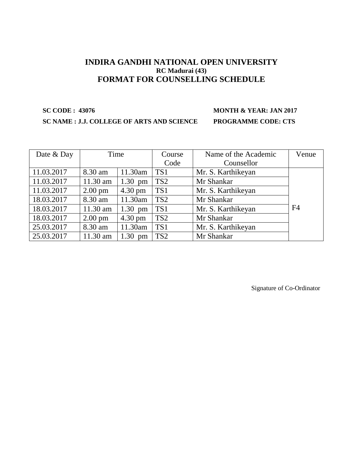# **SC CODE : 43076 MONTH & YEAR: JAN 2017**

### **SC NAME : J.J. COLLEGE OF ARTS AND SCIENCE PROGRAMME CODE: CTS**

| Date & Day | Time              |                   | Course          | Name of the Academic | Venue          |
|------------|-------------------|-------------------|-----------------|----------------------|----------------|
|            |                   |                   | Code            | Counsellor           |                |
| 11.03.2017 | 8.30 am           | 11.30am           | TS1             | Mr. S. Karthikeyan   |                |
| 11.03.2017 | $11.30$ am        | $1.30$ pm         | TS <sub>2</sub> | Mr Shankar           |                |
| 11.03.2017 | $2.00 \text{ pm}$ | $4.30 \text{ pm}$ | TS1             | Mr. S. Karthikeyan   |                |
| 18.03.2017 | 8.30 am           | 11.30am           | TS <sub>2</sub> | Mr Shankar           |                |
| 18.03.2017 | 11.30 am          | $1.30$ pm         | TS <sub>1</sub> | Mr. S. Karthikeyan   | F <sub>4</sub> |
| 18.03.2017 | $2.00 \text{ pm}$ | $4.30 \text{ pm}$ | TS <sub>2</sub> | Mr Shankar           |                |
| 25.03.2017 | 8.30 am           | 11.30am           | TS <sub>1</sub> | Mr. S. Karthikeyan   |                |
| 25.03.2017 | 11.30 am          | $1.30$ pm         | TS <sub>2</sub> | Mr Shankar           |                |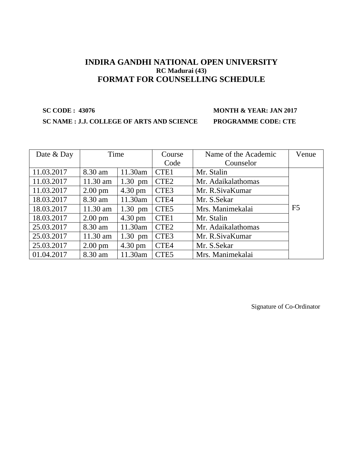# **SC CODE : 43076 MONTH & YEAR: JAN 2017**

### **SC NAME : J.J. COLLEGE OF ARTS AND SCIENCE PROGRAMME CODE: CTE**

| Date & Day | Time              |                   | Course           | Name of the Academic | Venue          |
|------------|-------------------|-------------------|------------------|----------------------|----------------|
|            |                   |                   | Code             | Counselor            |                |
| 11.03.2017 | 8.30 am           | 11.30am           | CTE1             | Mr. Stalin           |                |
| 11.03.2017 | $11.30$ am        | $1.30$ pm         | CTE <sub>2</sub> | Mr. Adaikalathomas   |                |
| 11.03.2017 | $2.00 \text{ pm}$ | $4.30 \text{ pm}$ | CTE <sub>3</sub> | Mr. R. Siva Kumar    |                |
| 18.03.2017 | 8.30 am           | 11.30am           | CTE4             | Mr. S.Sekar          |                |
| 18.03.2017 | $11.30$ am        | $1.30$ pm         | CTE <sub>5</sub> | Mrs. Manimekalai     | F <sub>5</sub> |
| 18.03.2017 | $2.00 \text{ pm}$ | $4.30 \text{ pm}$ | CTE1             | Mr. Stalin           |                |
| 25.03.2017 | 8.30 am           | 11.30am           | CTE <sub>2</sub> | Mr. Adaikalathomas   |                |
| 25.03.2017 | $11.30$ am        | $1.30$ pm         | CTE <sub>3</sub> | Mr. R. Siva Kumar    |                |
| 25.03.2017 | $2.00 \text{ pm}$ | $4.30 \text{ pm}$ | CTE4             | Mr. S.Sekar          |                |
| 01.04.2017 | 8.30 am           | 11.30am           | CTE <sub>5</sub> | Mrs. Manimekalai     |                |